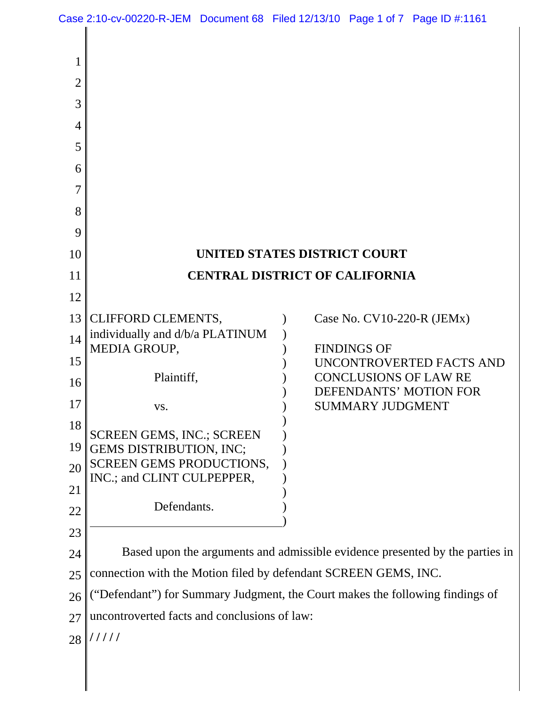|                | Case 2:10-cv-00220-R-JEM Document 68 Filed 12/13/10 Page 1 of 7 Page ID #:1161 |  |  |  |                         |                                                        |
|----------------|--------------------------------------------------------------------------------|--|--|--|-------------------------|--------------------------------------------------------|
|                |                                                                                |  |  |  |                         |                                                        |
| 1              |                                                                                |  |  |  |                         |                                                        |
| $\overline{2}$ |                                                                                |  |  |  |                         |                                                        |
| 3              |                                                                                |  |  |  |                         |                                                        |
| $\overline{4}$ |                                                                                |  |  |  |                         |                                                        |
| 5              |                                                                                |  |  |  |                         |                                                        |
| 6              |                                                                                |  |  |  |                         |                                                        |
| $\overline{7}$ |                                                                                |  |  |  |                         |                                                        |
| 8              |                                                                                |  |  |  |                         |                                                        |
| 9              |                                                                                |  |  |  |                         |                                                        |
| 10             | UNITED STATES DISTRICT COURT                                                   |  |  |  |                         |                                                        |
| 11             | <b>CENTRAL DISTRICT OF CALIFORNIA</b>                                          |  |  |  |                         |                                                        |
| 12             |                                                                                |  |  |  |                         |                                                        |
| 13             | <b>CLIFFORD CLEMENTS,</b>                                                      |  |  |  |                         | Case No. $CV10-220-R (JEMx)$                           |
| 14             | individually and d/b/a PLATINUM<br>MEDIA GROUP,                                |  |  |  | <b>FINDINGS OF</b>      |                                                        |
| 15             |                                                                                |  |  |  |                         | UNCONTROVERTED FACTS AND                               |
| 16             | Plaintiff,                                                                     |  |  |  |                         | <b>CONCLUSIONS OF LAW RE</b><br>DEFENDANTS' MOTION FOR |
| 17             | VS.                                                                            |  |  |  | <b>SUMMARY JUDGMENT</b> |                                                        |
| 18             | SCREEN GEMS, INC.; SCREEN                                                      |  |  |  |                         |                                                        |
| 19             | GEMS DISTRIBUTION, INC;                                                        |  |  |  |                         |                                                        |
| 20             | <b>SCREEN GEMS PRODUCTIONS,</b><br>INC.; and CLINT CULPEPPER,                  |  |  |  |                         |                                                        |
| 21             |                                                                                |  |  |  |                         |                                                        |
| 22             | Defendants.                                                                    |  |  |  |                         |                                                        |
| 23             |                                                                                |  |  |  |                         |                                                        |
| 24             | Based upon the arguments and admissible evidence presented by the parties in   |  |  |  |                         |                                                        |
| 25             | connection with the Motion filed by defendant SCREEN GEMS, INC.                |  |  |  |                         |                                                        |
| 26             | ("Defendant") for Summary Judgment, the Court makes the following findings of  |  |  |  |                         |                                                        |
| 27             | uncontroverted facts and conclusions of law:                                   |  |  |  |                         |                                                        |
| 28             | 11111                                                                          |  |  |  |                         |                                                        |
|                |                                                                                |  |  |  |                         |                                                        |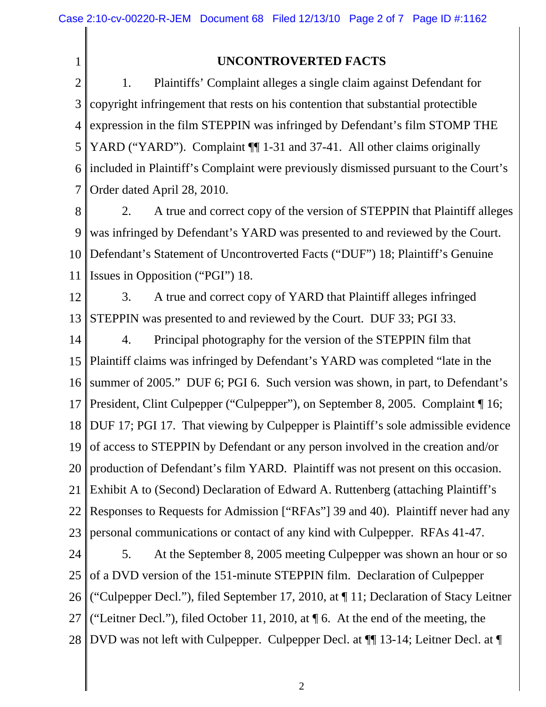1

## **UNCONTROVERTED FACTS**

2 3 4 5 6 7 1. Plaintiffs' Complaint alleges a single claim against Defendant for copyright infringement that rests on his contention that substantial protectible expression in the film STEPPIN was infringed by Defendant's film STOMP THE YARD ("YARD"). Complaint  $\P$  1-31 and 37-41. All other claims originally included in Plaintiff's Complaint were previously dismissed pursuant to the Court's Order dated April 28, 2010.

8 9 10 11 2. A true and correct copy of the version of STEPPIN that Plaintiff alleges was infringed by Defendant's YARD was presented to and reviewed by the Court. Defendant's Statement of Uncontroverted Facts ("DUF") 18; Plaintiff's Genuine Issues in Opposition ("PGI") 18.

12 13 3. A true and correct copy of YARD that Plaintiff alleges infringed STEPPIN was presented to and reviewed by the Court. DUF 33; PGI 33.

14 15 16 17 18 19 20 21 22 23 4. Principal photography for the version of the STEPPIN film that Plaintiff claims was infringed by Defendant's YARD was completed "late in the summer of 2005." DUF 6; PGI 6. Such version was shown, in part, to Defendant's President, Clint Culpepper ("Culpepper"), on September 8, 2005. Complaint ¶ 16; DUF 17; PGI 17. That viewing by Culpepper is Plaintiff's sole admissible evidence of access to STEPPIN by Defendant or any person involved in the creation and/or production of Defendant's film YARD. Plaintiff was not present on this occasion. Exhibit A to (Second) Declaration of Edward A. Ruttenberg (attaching Plaintiff's Responses to Requests for Admission ["RFAs"] 39 and 40). Plaintiff never had any personal communications or contact of any kind with Culpepper. RFAs 41-47.

24 25 26 27 28 5. At the September 8, 2005 meeting Culpepper was shown an hour or so of a DVD version of the 151-minute STEPPIN film. Declaration of Culpepper ("Culpepper Decl."), filed September 17, 2010, at ¶ 11; Declaration of Stacy Leitner ("Leitner Decl."), filed October 11, 2010, at  $\P$  6. At the end of the meeting, the DVD was not left with Culpepper. Culpepper Decl. at ¶¶ 13-14; Leitner Decl. at ¶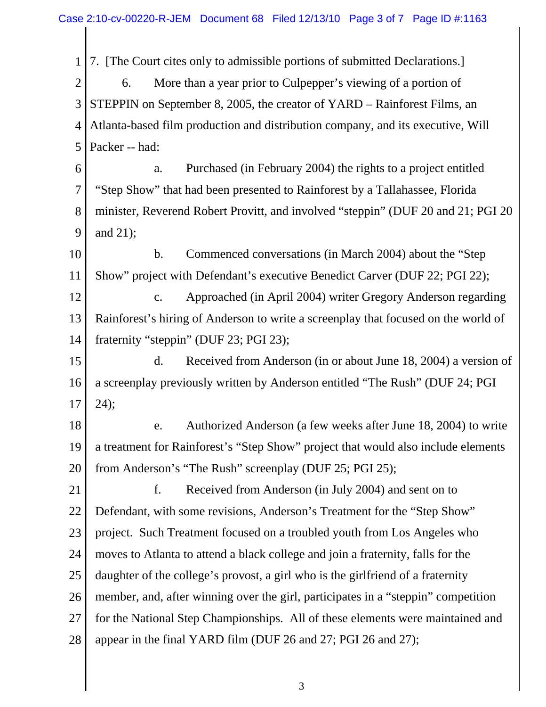1 2 3 4 5 7. [The Court cites only to admissible portions of submitted Declarations.] 6. More than a year prior to Culpepper's viewing of a portion of STEPPIN on September 8, 2005, the creator of YARD – Rainforest Films, an Atlanta-based film production and distribution company, and its executive, Will Packer -- had:

6 7 8 9 a. Purchased (in February 2004) the rights to a project entitled "Step Show" that had been presented to Rainforest by a Tallahassee, Florida minister, Reverend Robert Provitt, and involved "steppin" (DUF 20 and 21; PGI 20 and 21);

10 11 b. Commenced conversations (in March 2004) about the "Step Show" project with Defendant's executive Benedict Carver (DUF 22; PGI 22);

12 13 14 c. Approached (in April 2004) writer Gregory Anderson regarding Rainforest's hiring of Anderson to write a screenplay that focused on the world of fraternity "steppin" (DUF 23; PGI 23);

15 16 17 d. Received from Anderson (in or about June 18, 2004) a version of a screenplay previously written by Anderson entitled "The Rush" (DUF 24; PGI 24);

18 19 20 e. Authorized Anderson (a few weeks after June 18, 2004) to write a treatment for Rainforest's "Step Show" project that would also include elements from Anderson's "The Rush" screenplay (DUF 25; PGI 25);

21 22 23 24 25 26 27 28 f. Received from Anderson (in July 2004) and sent on to Defendant, with some revisions, Anderson's Treatment for the "Step Show" project. Such Treatment focused on a troubled youth from Los Angeles who moves to Atlanta to attend a black college and join a fraternity, falls for the daughter of the college's provost, a girl who is the girlfriend of a fraternity member, and, after winning over the girl, participates in a "steppin" competition for the National Step Championships. All of these elements were maintained and appear in the final YARD film (DUF 26 and 27; PGI 26 and 27);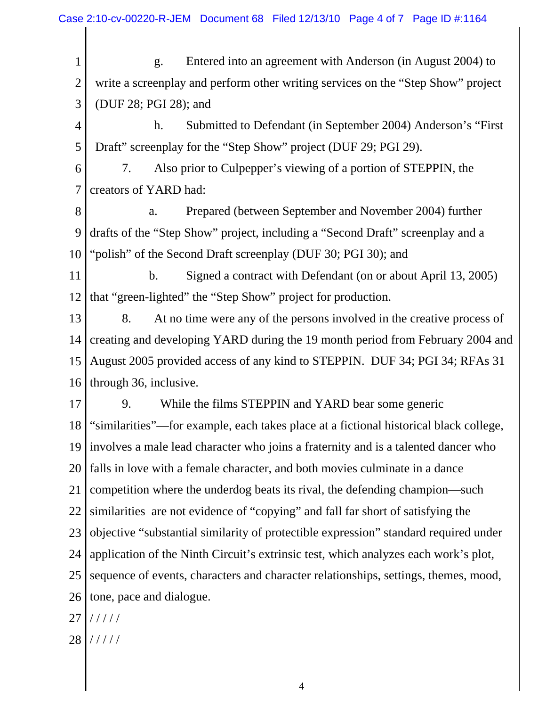1 2 3 g. Entered into an agreement with Anderson (in August 2004) to write a screenplay and perform other writing services on the "Step Show" project (DUF 28; PGI 28); and

4 5 h. Submitted to Defendant (in September 2004) Anderson's "First Draft" screenplay for the "Step Show" project (DUF 29; PGI 29).

6 7 7. Also prior to Culpepper's viewing of a portion of STEPPIN, the creators of YARD had:

8 9 10 a. Prepared (between September and November 2004) further drafts of the "Step Show" project, including a "Second Draft" screenplay and a "polish" of the Second Draft screenplay (DUF 30; PGI 30); and

11 12 b. Signed a contract with Defendant (on or about April 13, 2005) that "green-lighted" the "Step Show" project for production.

13 14 15 16 8. At no time were any of the persons involved in the creative process of creating and developing YARD during the 19 month period from February 2004 and August 2005 provided access of any kind to STEPPIN. DUF 34; PGI 34; RFAs 31 through 36, inclusive.

17 18 19 20 21 22 23 24 25 26 9. While the films STEPPIN and YARD bear some generic "similarities"—for example, each takes place at a fictional historical black college, involves a male lead character who joins a fraternity and is a talented dancer who falls in love with a female character, and both movies culminate in a dance competition where the underdog beats its rival, the defending champion—such similarities are not evidence of "copying" and fall far short of satisfying the objective "substantial similarity of protectible expression" standard required under application of the Ninth Circuit's extrinsic test, which analyzes each work's plot, sequence of events, characters and character relationships, settings, themes, mood, tone, pace and dialogue.

27 / / / / /

28 / / / / /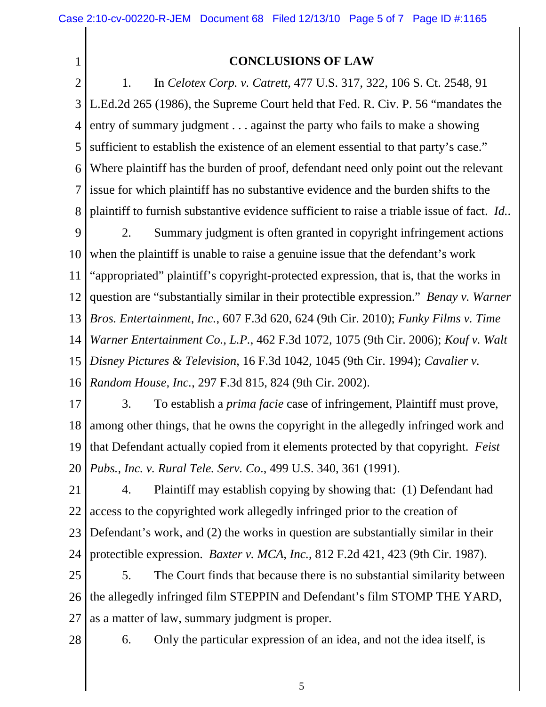1

## **CONCLUSIONS OF LAW**

2 3 4 5 6 7 8 1. In *Celotex Corp. v. Catrett*, 477 U.S. 317, 322, 106 S. Ct. 2548, 91 L.Ed.2d 265 (1986), the Supreme Court held that Fed. R. Civ. P. 56 "mandates the entry of summary judgment . . . against the party who fails to make a showing sufficient to establish the existence of an element essential to that party's case." Where plaintiff has the burden of proof, defendant need only point out the relevant issue for which plaintiff has no substantive evidence and the burden shifts to the plaintiff to furnish substantive evidence sufficient to raise a triable issue of fact. *Id.*.

9 10 11 12 13 14 15 16 2. Summary judgment is often granted in copyright infringement actions when the plaintiff is unable to raise a genuine issue that the defendant's work "appropriated" plaintiff's copyright-protected expression, that is, that the works in question are "substantially similar in their protectible expression." *Benay v. Warner Bros. Entertainment, Inc.*, 607 F.3d 620, 624 (9th Cir. 2010); *Funky Films v. Time Warner Entertainment Co., L.P.*, 462 F.3d 1072, 1075 (9th Cir. 2006); *Kouf v. Walt Disney Pictures & Television*, 16 F.3d 1042, 1045 (9th Cir. 1994); *Cavalier v. Random House, Inc.*, 297 F.3d 815, 824 (9th Cir. 2002).

17 18 19 20 3. To establish a *prima facie* case of infringement, Plaintiff must prove, among other things, that he owns the copyright in the allegedly infringed work and that Defendant actually copied from it elements protected by that copyright. *Feist Pubs., Inc. v. Rural Tele. Serv. Co*., 499 U.S. 340, 361 (1991).

21 22 23 24 4. Plaintiff may establish copying by showing that: (1) Defendant had access to the copyrighted work allegedly infringed prior to the creation of Defendant's work, and (2) the works in question are substantially similar in their protectible expression. *Baxter v. MCA, Inc.*, 812 F.2d 421, 423 (9th Cir. 1987).

25 26 27 5. The Court finds that because there is no substantial similarity between the allegedly infringed film STEPPIN and Defendant's film STOMP THE YARD, as a matter of law, summary judgment is proper.

28

6. Only the particular expression of an idea, and not the idea itself, is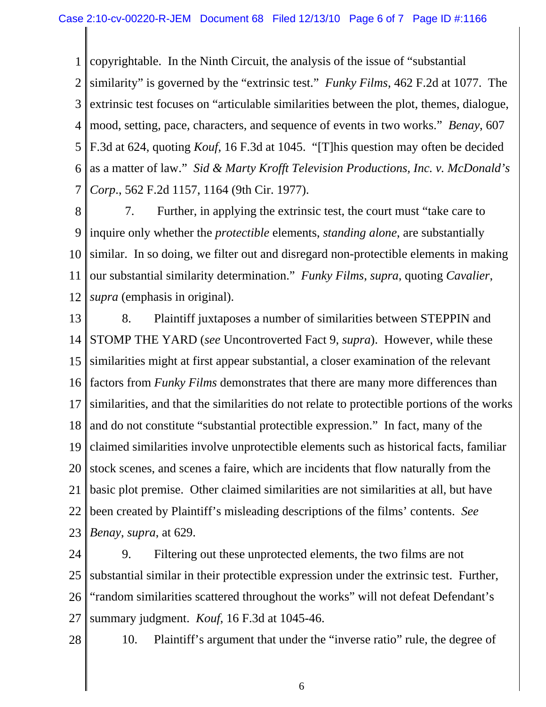1 copyrightable. In the Ninth Circuit, the analysis of the issue of "substantial

2 3 4 5 6 7 similarity" is governed by the "extrinsic test." *Funky Films*, 462 F.2d at 1077. The extrinsic test focuses on "articulable similarities between the plot, themes, dialogue, mood, setting, pace, characters, and sequence of events in two works." *Benay*, 607 F.3d at 624, quoting *Kouf*, 16 F.3d at 1045. "[T]his question may often be decided as a matter of law." *Sid & Marty Krofft Television Productions, Inc. v. McDonald's Corp*., 562 F.2d 1157, 1164 (9th Cir. 1977).

8 9 10 11 12 7. Further, in applying the extrinsic test, the court must "take care to inquire only whether the *protectible* elements, *standing alone*, are substantially similar. In so doing, we filter out and disregard non-protectible elements in making our substantial similarity determination." *Funky Films*, *supra*, quoting *Cavalier*, *supra* (emphasis in original).

13 14 15 16 17 18 19 20 21 22 23 8. Plaintiff juxtaposes a number of similarities between STEPPIN and STOMP THE YARD (*see* Uncontroverted Fact 9, *supra*). However, while these similarities might at first appear substantial, a closer examination of the relevant factors from *Funky Films* demonstrates that there are many more differences than similarities, and that the similarities do not relate to protectible portions of the works and do not constitute "substantial protectible expression." In fact, many of the claimed similarities involve unprotectible elements such as historical facts, familiar stock scenes, and scenes a faire, which are incidents that flow naturally from the basic plot premise. Other claimed similarities are not similarities at all, but have been created by Plaintiff's misleading descriptions of the films' contents. *See Benay*, *supra*, at 629.

24 25 26 27 9. Filtering out these unprotected elements, the two films are not substantial similar in their protectible expression under the extrinsic test. Further, "random similarities scattered throughout the works" will not defeat Defendant's summary judgment. *Kouf*, 16 F.3d at 1045-46.

28

10. Plaintiff's argument that under the "inverse ratio" rule, the degree of